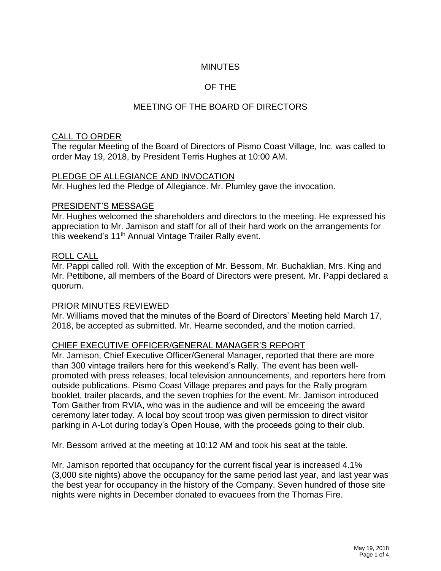## **MINUTES**

## OF THE

## MEETING OF THE BOARD OF DIRECTORS

#### CALL TO ORDER

The regular Meeting of the Board of Directors of Pismo Coast Village, Inc. was called to order May 19, 2018, by President Terris Hughes at 10:00 AM.

#### PLEDGE OF ALLEGIANCE AND INVOCATION

Mr. Hughes led the Pledge of Allegiance. Mr. Plumley gave the invocation.

#### PRESIDENT'S MESSAGE

Mr. Hughes welcomed the shareholders and directors to the meeting. He expressed his appreciation to Mr. Jamison and staff for all of their hard work on the arrangements for this weekend's 11th Annual Vintage Trailer Rally event.

#### ROLL CALL

Mr. Pappi called roll. With the exception of Mr. Bessom, Mr. Buchaklian, Mrs. King and Mr. Pettibone, all members of the Board of Directors were present. Mr. Pappi declared a quorum.

#### PRIOR MINUTES REVIEWED

Mr. Williams moved that the minutes of the Board of Directors' Meeting held March 17, 2018, be accepted as submitted. Mr. Hearne seconded, and the motion carried.

#### CHIEF EXECUTIVE OFFICER/GENERAL MANAGER'S REPORT

Mr. Jamison, Chief Executive Officer/General Manager, reported that there are more than 300 vintage trailers here for this weekend's Rally. The event has been wellpromoted with press releases, local television announcements, and reporters here from outside publications. Pismo Coast Village prepares and pays for the Rally program booklet, trailer placards, and the seven trophies for the event. Mr. Jamison introduced Tom Gaither from RVIA, who was in the audience and will be emceeing the award ceremony later today. A local boy scout troop was given permission to direct visitor parking in A-Lot during today's Open House, with the proceeds going to their club.

Mr. Bessom arrived at the meeting at 10:12 AM and took his seat at the table.

Mr. Jamison reported that occupancy for the current fiscal year is increased 4.1% (3,000 site nights) above the occupancy for the same period last year, and last year was the best year for occupancy in the history of the Company. Seven hundred of those site nights were nights in December donated to evacuees from the Thomas Fire.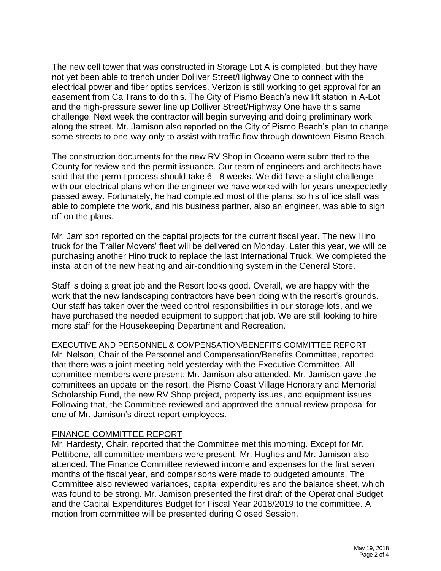The new cell tower that was constructed in Storage Lot A is completed, but they have not yet been able to trench under Dolliver Street/Highway One to connect with the electrical power and fiber optics services. Verizon is still working to get approval for an easement from CalTrans to do this. The City of Pismo Beach's new lift station in A-Lot and the high-pressure sewer line up Dolliver Street/Highway One have this same challenge. Next week the contractor will begin surveying and doing preliminary work along the street. Mr. Jamison also reported on the City of Pismo Beach's plan to change some streets to one-way-only to assist with traffic flow through downtown Pismo Beach.

The construction documents for the new RV Shop in Oceano were submitted to the County for review and the permit issuance. Our team of engineers and architects have said that the permit process should take 6 - 8 weeks. We did have a slight challenge with our electrical plans when the engineer we have worked with for years unexpectedly passed away. Fortunately, he had completed most of the plans, so his office staff was able to complete the work, and his business partner, also an engineer, was able to sign off on the plans.

Mr. Jamison reported on the capital projects for the current fiscal year. The new Hino truck for the Trailer Movers' fleet will be delivered on Monday. Later this year, we will be purchasing another Hino truck to replace the last International Truck. We completed the installation of the new heating and air-conditioning system in the General Store.

Staff is doing a great job and the Resort looks good. Overall, we are happy with the work that the new landscaping contractors have been doing with the resort's grounds. Our staff has taken over the weed control responsibilities in our storage lots, and we have purchased the needed equipment to support that job. We are still looking to hire more staff for the Housekeeping Department and Recreation.

#### EXECUTIVE AND PERSONNEL & COMPENSATION/BENEFITS COMMITTEE REPORT

Mr. Nelson, Chair of the Personnel and Compensation/Benefits Committee, reported that there was a joint meeting held yesterday with the Executive Committee. All committee members were present; Mr. Jamison also attended. Mr. Jamison gave the committees an update on the resort, the Pismo Coast Village Honorary and Memorial Scholarship Fund, the new RV Shop project, property issues, and equipment issues. Following that, the Committee reviewed and approved the annual review proposal for one of Mr. Jamison's direct report employees.

#### FINANCE COMMITTEE REPORT

Mr. Hardesty, Chair, reported that the Committee met this morning. Except for Mr. Pettibone, all committee members were present. Mr. Hughes and Mr. Jamison also attended. The Finance Committee reviewed income and expenses for the first seven months of the fiscal year, and comparisons were made to budgeted amounts. The Committee also reviewed variances, capital expenditures and the balance sheet, which was found to be strong. Mr. Jamison presented the first draft of the Operational Budget and the Capital Expenditures Budget for Fiscal Year 2018/2019 to the committee. A motion from committee will be presented during Closed Session.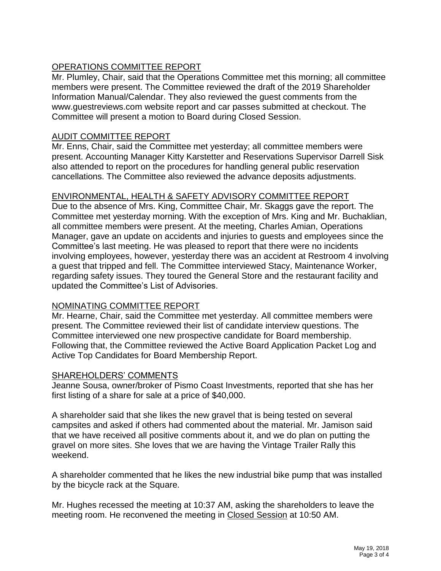# OPERATIONS COMMITTEE REPORT

Mr. Plumley, Chair, said that the Operations Committee met this morning; all committee members were present. The Committee reviewed the draft of the 2019 Shareholder Information Manual/Calendar. They also reviewed the guest comments from the www.guestreviews.com website report and car passes submitted at checkout. The Committee will present a motion to Board during Closed Session.

### AUDIT COMMITTEE REPORT

Mr. Enns, Chair, said the Committee met yesterday; all committee members were present. Accounting Manager Kitty Karstetter and Reservations Supervisor Darrell Sisk also attended to report on the procedures for handling general public reservation cancellations. The Committee also reviewed the advance deposits adjustments.

## ENVIRONMENTAL, HEALTH & SAFETY ADVISORY COMMITTEE REPORT

Due to the absence of Mrs. King, Committee Chair, Mr. Skaggs gave the report. The Committee met yesterday morning. With the exception of Mrs. King and Mr. Buchaklian, all committee members were present. At the meeting, Charles Amian, Operations Manager, gave an update on accidents and injuries to guests and employees since the Committee's last meeting. He was pleased to report that there were no incidents involving employees, however, yesterday there was an accident at Restroom 4 involving a guest that tripped and fell. The Committee interviewed Stacy, Maintenance Worker, regarding safety issues. They toured the General Store and the restaurant facility and updated the Committee's List of Advisories.

#### NOMINATING COMMITTEE REPORT

Mr. Hearne, Chair, said the Committee met yesterday. All committee members were present. The Committee reviewed their list of candidate interview questions. The Committee interviewed one new prospective candidate for Board membership. Following that, the Committee reviewed the Active Board Application Packet Log and Active Top Candidates for Board Membership Report.

#### SHAREHOLDERS' COMMENTS

Jeanne Sousa, owner/broker of Pismo Coast Investments, reported that she has her first listing of a share for sale at a price of \$40,000.

A shareholder said that she likes the new gravel that is being tested on several campsites and asked if others had commented about the material. Mr. Jamison said that we have received all positive comments about it, and we do plan on putting the gravel on more sites. She loves that we are having the Vintage Trailer Rally this weekend.

A shareholder commented that he likes the new industrial bike pump that was installed by the bicycle rack at the Square.

Mr. Hughes recessed the meeting at 10:37 AM, asking the shareholders to leave the meeting room. He reconvened the meeting in Closed Session at 10:50 AM.